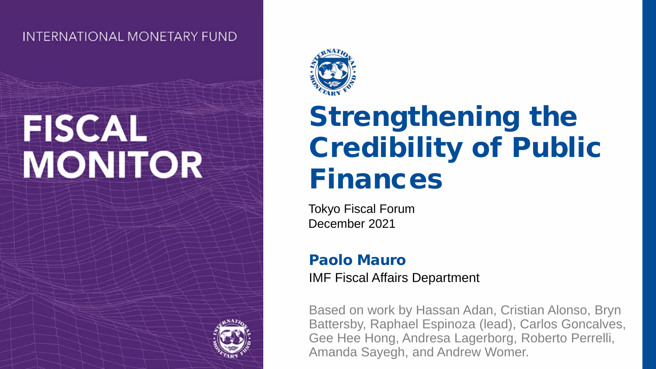**INTERNATIONAL MONETARY FUND** 

# **FISCAL MONITOR**



## Strengthening the Credibility of Public Finances

Tokyo Fiscal Forum December 2021

#### Paolo Mauro

IMF Fiscal Affairs Department

Based on work by Hassan Adan, Cristian Alonso, Bryn Battersby, Raphael Espinoza (lead), Carlos Goncalves, Gee Hee Hong, Andresa Lagerborg, Roberto Perrelli, Amanda Sayegh, and Andrew Womer.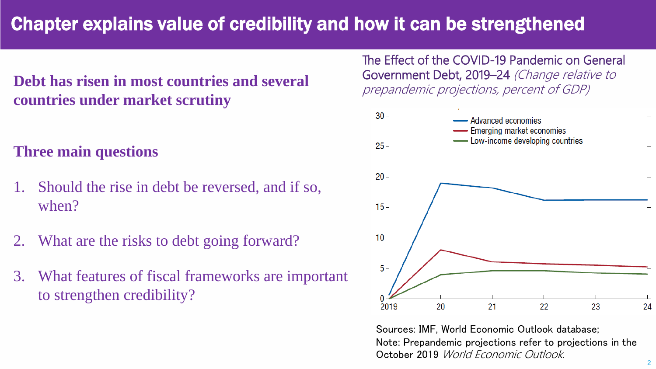### Chapter explains value of credibility and how it can be strengthened

#### **Debt has risen in most countries and several countries under market scrutiny**

#### **Three main questions**

- Should the rise in debt be reversed, and if so, when?
- 2. What are the risks to debt going forward?
- 3. What features of fiscal frameworks are important to strengthen credibility?

The Effect of the COVID-19 Pandemic on General Government Debt, 2019–24 (Change relative to prepandemic projections, percent of GDP)



Sources: IMF, World Economic Outlook database; Note: Prepandemic projections refer to projections in the October 2019 World Economic Outlook.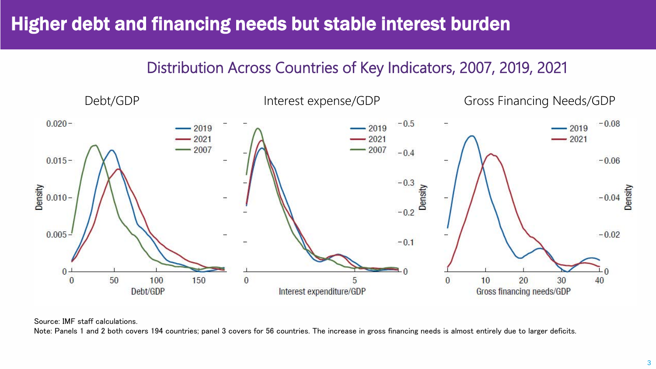### Higher debt and financing needs but stable interest burden

#### Distribution Across Countries of Key Indicators, 2007, 2019, 2021



Source: IMF staff calculations.

Note: Panels 1 and 2 both covers 194 countries; panel 3 covers for 56 countries. The increase in gross financing needs is almost entirely due to larger deficits.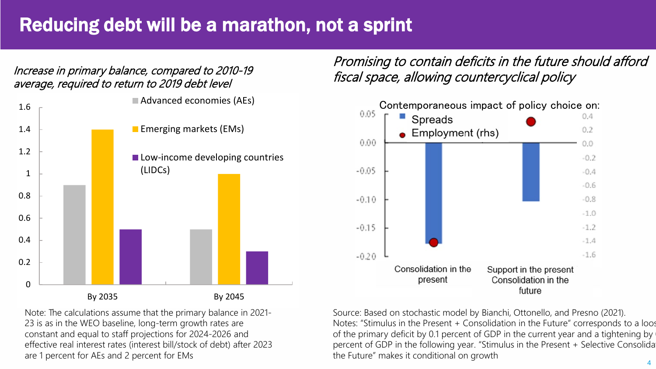### Reducing debt will be a marathon, not a sprint

Increase in primary balance, compared to 2010-19 average, required to return to 2019 debt level



Promising to contain deficits in the future should afford fiscal space, allowing countercyclical policy



Note: The calculations assume that the primary balance in 2021- 23 is as in the WEO baseline, long-term growth rates are constant and equal to staff projections for 2024-2026 and effective real interest rates (interest bill/stock of debt) after 2023 are 1 percent for AEs and 2 percent for EMs

Source: Based on stochastic model by Bianchi, Ottonello, and Presno (2021). Notes: "Stimulus in the Present + Consolidation in the Future" corresponds to a loos of the primary deficit by 0.1 percent of GDP in the current year and a tightening by percent of GDP in the following year. "Stimulus in the Present + Selective Consolida the Future" makes it conditional on growth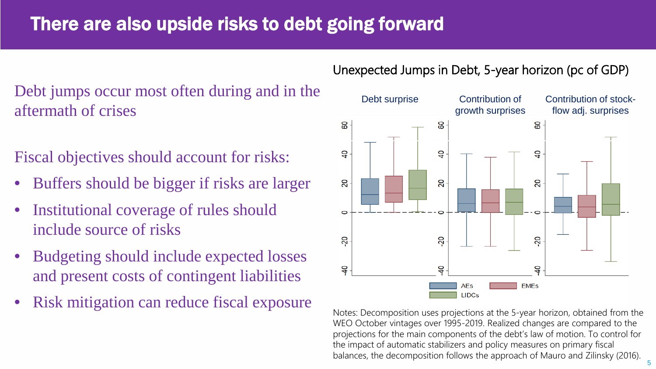### There are also upside risks to debt going forward

### Debt jumps occur most often during and in the aftermath of crises

Fiscal objectives should account for risks:

- Buffers should be bigger if risks are larger
- Institutional coverage of rules should include source of risks
- Budgeting should include expected losses and present costs of contingent liabilities
- 

#### Unexpected Jumps in Debt, 5-year horizon (pc of GDP)



WEO October vintages over 1995-2019. Realized changes are compared to the projections for the main components of the debt's law of motion. To control for the impact of automatic stabilizers and policy measures on primary fiscal balances, the decomposition follows the approach of Mauro and Zilinsky (2016).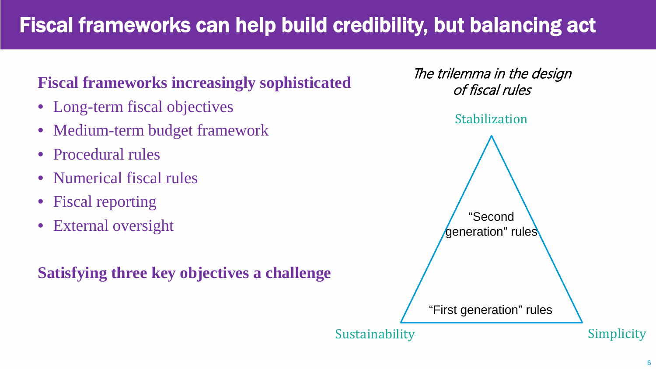### Fiscal frameworks can help build credibility, but balancing act

### **Fiscal frameworks increasingly sophisticated**

- Long-term fiscal objectives
- Medium-term budget framework
- Procedural rules
- Numerical fiscal rules
- Fiscal reporting
- External oversight

**Satisfying three key objectives a challenge**

The trilemma in the design of fiscal rules

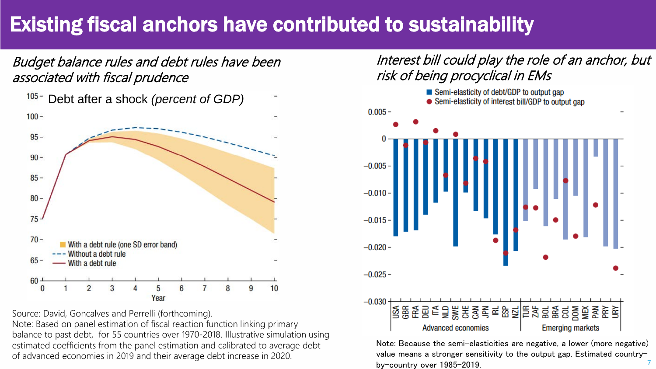### Existing fiscal anchors have contributed to sustainability

Budget balance rules and debt rules have been associated with fiscal prudence



Source: David, Goncalves and Perrelli (forthcoming). Note: Based on panel estimation of fiscal reaction function linking primary balance to past debt, for 55 countries over 1970-2018. Illustrative simulation using estimated coefficients from the panel estimation and calibrated to average debt of advanced economies in 2019 and their average debt increase in 2020.

#### Interest bill could play the role of an anchor, but risk of being procyclical in EMs



7 Note: Because the semi-elasticities are negative, a lower (more negative) value means a stronger sensitivity to the output gap. Estimated countryby-country over 1985–2019.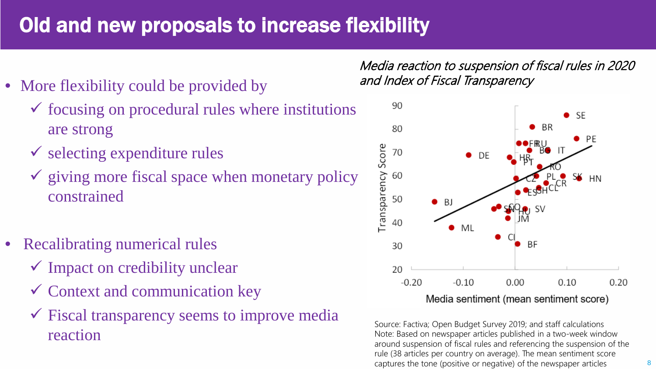### Old and new proposals to increase flexibility

- More flexibility could be provided by
	- $\checkmark$  focusing on procedural rules where institutions are strong
	- $\checkmark$  selecting expenditure rules
	- $\checkmark$  giving more fiscal space when monetary policy constrained
- Recalibrating numerical rules
	- $\checkmark$  Impact on credibility unclear
	- $\checkmark$  Context and communication key
	- $\checkmark$  Fiscal transparency seems to improve media reaction

Media reaction to suspension of fiscal rules in 2020 and Index of Fiscal Transparency



Source: Factiva; Open Budget Survey 2019; and staff calculations Note: Based on newspaper articles published in a two-week window around suspension of fiscal rules and referencing the suspension of the rule (38 articles per country on average). The mean sentiment score captures the tone (positive or negative) of the newspaper articles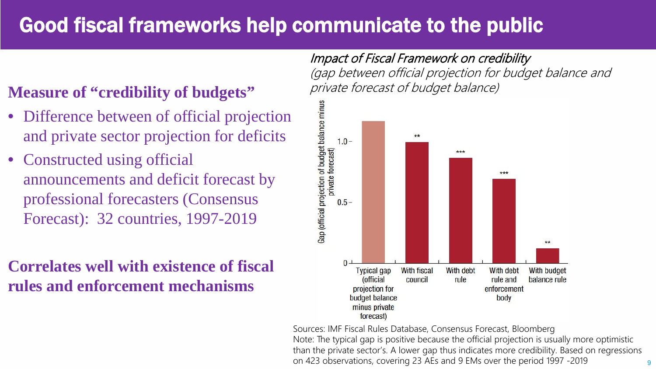### Good fiscal frameworks help communicate to the public

#### **Measure of "credibility of budgets"**

- Difference between of official projection and private sector projection for deficits
- Constructed using official announcements and deficit forecast by professional forecasters (Consensus Forecast): 32 countries, 1997-2019

### **Correlates well with existence of fiscal rules and enforcement mechanisms**

### Impact of Fiscal Framework on credibility

(gap between official projection for budget balance and private forecast of budget balance)



Sources: IMF Fiscal Rules Database, Consensus Forecast, Bloomberg Note: The typical gap is positive because the official projection is usually more optimistic than the private sector's. A lower gap thus indicates more credibility. Based on regressions on 423 observations, covering 23 AEs and 9 EMs over the period 1997 -2019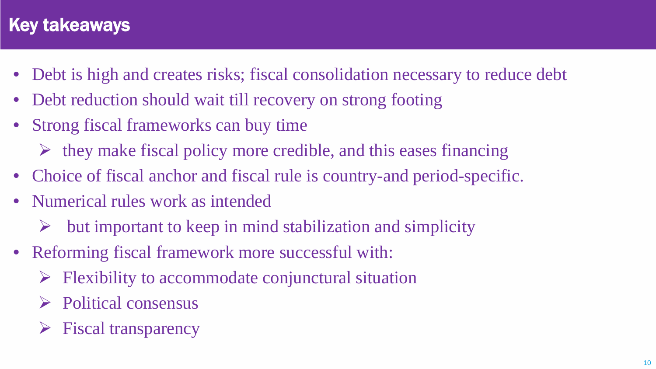### Key takeaways

- Debt is high and creates risks; fiscal consolidation necessary to reduce debt
- Debt reduction should wait till recovery on strong footing
- Strong fiscal frameworks can buy time
	- $\triangleright$  they make fiscal policy more credible, and this eases financing
- Choice of fiscal anchor and fiscal rule is country-and period-specific.
- Numerical rules work as intended
	- but important to keep in mind stabilization and simplicity
- Reforming fiscal framework more successful with:
	- Flexibility to accommodate conjunctural situation
	- $\triangleright$  Political consensus
	- $\triangleright$  Fiscal transparency